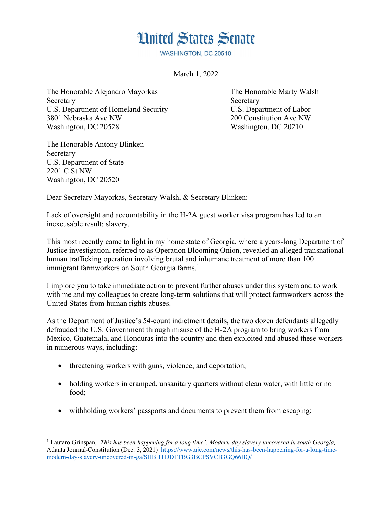## **Hnited States Senate**

WASHINGTON, DC 20510

March 1, 2022

The Honorable Alejandro Mayorkas The Honorable Marty Walsh Secretary Secretary Secretary Secretary Secretary Secretary Secretary Secretary Secretary Secretary Secretary Secretary Secretary Secretary Secretary Secretary Secretary Secretary Secretary Secretary Secretary Secretary Se U.S. Department of Homeland Security U.S. Department of Labor 3801 Nebraska Ave NW 200 Constitution Ave NW Washington, DC 20528 Washington, DC 20210

The Honorable Antony Blinken Secretary U.S. Department of State 2201 C St NW Washington, DC 20520

Dear Secretary Mayorkas, Secretary Walsh, & Secretary Blinken:

Lack of oversight and accountability in the H-2A guest worker visa program has led to an inexcusable result: slavery.

This most recently came to light in my home state of Georgia, where a years-long Department of Justice investigation, referred to as Operation Blooming Onion, revealed an alleged transnational human trafficking operation involving brutal and inhumane treatment of more than 100 immigrant farmworkers on South Georgia farms.<sup>1</sup>

I implore you to take immediate action to prevent further abuses under this system and to work with me and my colleagues to create long-term solutions that will protect farmworkers across the United States from human rights abuses.

As the Department of Justice's 54-count indictment details, the two dozen defendants allegedly defrauded the U.S. Government through misuse of the H-2A program to bring workers from Mexico, Guatemala, and Honduras into the country and then exploited and abused these workers in numerous ways, including:

- threatening workers with guns, violence, and deportation;
- holding workers in cramped, unsanitary quarters without clean water, with little or no food;
- withholding workers' passports and documents to prevent them from escaping;

<sup>1</sup> Lautaro Grinspan, *'This has been happening for a long time': Modern-day slavery uncovered in south Georgia,* Atlanta Journal-Constitution (Dec. 3, 2021) https://www.ajc.com/news/this-has-been-happening-for-a-long-timemodern-day-slavery-uncovered-in-ga/SHBHTDDTTBG3BCPSVCB3GQ66BQ/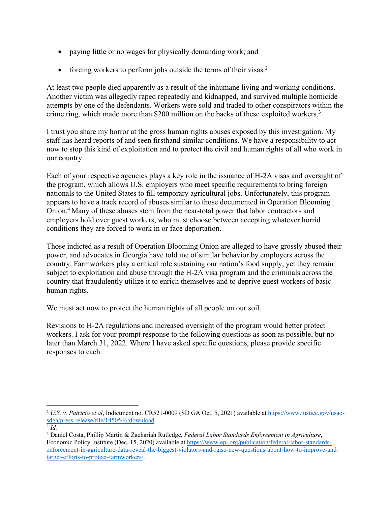- paying little or no wages for physically demanding work; and
- forcing workers to perform jobs outside the terms of their visas.<sup>2</sup>

At least two people died apparently as a result of the inhumane living and working conditions. Another victim was allegedly raped repeatedly and kidnapped, and survived multiple homicide attempts by one of the defendants. Workers were sold and traded to other conspirators within the crime ring, which made more than \$200 million on the backs of these exploited workers.<sup>3</sup>

I trust you share my horror at the gross human rights abuses exposed by this investigation. My staff has heard reports of and seen firsthand similar conditions. We have a responsibility to act now to stop this kind of exploitation and to protect the civil and human rights of all who work in our country.

Each of your respective agencies plays a key role in the issuance of H-2A visas and oversight of the program, which allows U.S. employers who meet specific requirements to bring foreign nationals to the United States to fill temporary agricultural jobs. Unfortunately, this program appears to have a track record of abuses similar to those documented in Operation Blooming Onion.4 Many of these abuses stem from the near-total power that labor contractors and employers hold over guest workers, who must choose between accepting whatever horrid conditions they are forced to work in or face deportation.

Those indicted as a result of Operation Blooming Onion are alleged to have grossly abused their power, and advocates in Georgia have told me of similar behavior by employers across the country. Farmworkers play a critical role sustaining our nation's food supply, yet they remain subject to exploitation and abuse through the H-2A visa program and the criminals across the country that fraudulently utilize it to enrich themselves and to deprive guest workers of basic human rights.

We must act now to protect the human rights of all people on our soil.

Revisions to H-2A regulations and increased oversight of the program would better protect workers. I ask for your prompt response to the following questions as soon as possible, but no later than March 31, 2022. Where I have asked specific questions, please provide specific responses to each.

<sup>2</sup> *U.S. v. Patricio et al*, Indictment no. CR521-0009 (SD GA Oct. 5, 2021) available at https://www.justice.gov/usaosdga/press-release/file/1450546/download

<sup>3</sup> *Id.*

<sup>4</sup> Daniel Costa, Phillip Martin & Zachariah Rutledge, *Federal Labor Standards Enforcement in Agriculture*, Economic Policy Institute (Dec. 15, 2020) available at https://www.epi.org/publication/federal-labor-standardsenforcement-in-agriculture-data-reveal-the-biggest-violators-and-raise-new-questions-about-how-to-improve-andtarget-efforts-to-protect-farmworkers/.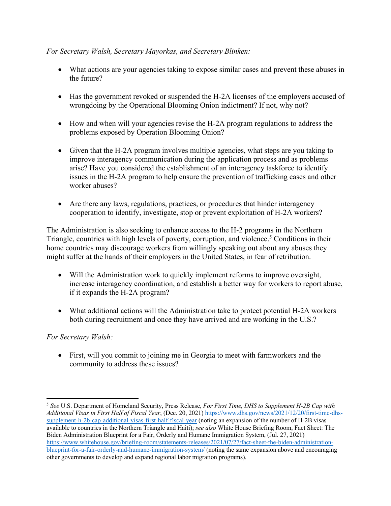## *For Secretary Walsh, Secretary Mayorkas, and Secretary Blinken:*

- What actions are your agencies taking to expose similar cases and prevent these abuses in the future?
- Has the government revoked or suspended the H-2A licenses of the employers accused of wrongdoing by the Operational Blooming Onion indictment? If not, why not?
- How and when will your agencies revise the H-2A program regulations to address the problems exposed by Operation Blooming Onion?
- Given that the H-2A program involves multiple agencies, what steps are you taking to improve interagency communication during the application process and as problems arise? Have you considered the establishment of an interagency taskforce to identify issues in the H-2A program to help ensure the prevention of trafficking cases and other worker abuses?
- Are there any laws, regulations, practices, or procedures that hinder interagency cooperation to identify, investigate, stop or prevent exploitation of H-2A workers?

The Administration is also seeking to enhance access to the H-2 programs in the Northern Triangle, countries with high levels of poverty, corruption, and violence.<sup>5</sup> Conditions in their home countries may discourage workers from willingly speaking out about any abuses they might suffer at the hands of their employers in the United States, in fear of retribution.

- Will the Administration work to quickly implement reforms to improve oversight, increase interagency coordination, and establish a better way for workers to report abuse, if it expands the H-2A program?
- What additional actions will the Administration take to protect potential H-2A workers both during recruitment and once they have arrived and are working in the U.S.?

## *For Secretary Walsh:*

• First, will you commit to joining me in Georgia to meet with farmworkers and the community to address these issues?

<sup>5</sup> *See* U.S. Department of Homeland Security, Press Release, *For First Time, DHS to Supplement H-2B Cap with Additional Visas in First Half of Fiscal Year*, (Dec. 20, 2021) https://www.dhs.gov/news/2021/12/20/first-time-dhssupplement-h-2b-cap-additional-visas-first-half-fiscal-year (noting an expansion of the number of H-2B visas available to countries in the Northern Triangle and Haiti); *see also* White House Briefing Room, Fact Sheet: The Biden Administration Blueprint for a Fair, Orderly and Humane Immigration System, (Jul. 27, 2021) https://www.whitehouse.gov/briefing-room/statements-releases/2021/07/27/fact-sheet-the-biden-administrationblueprint-for-a-fair-orderly-and-humane-immigration-system/ (noting the same expansion above and encouraging other governments to develop and expand regional labor migration programs).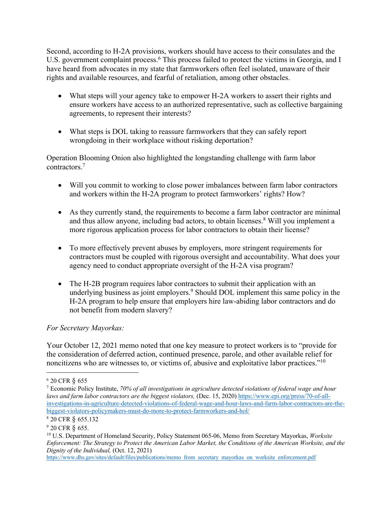Second, according to H-2A provisions, workers should have access to their consulates and the U.S. government complaint process.<sup>6</sup> This process failed to protect the victims in Georgia, and I have heard from advocates in my state that farmworkers often feel isolated, unaware of their rights and available resources, and fearful of retaliation, among other obstacles.

- What steps will your agency take to empower H-2A workers to assert their rights and ensure workers have access to an authorized representative, such as collective bargaining agreements, to represent their interests?
- What steps is DOL taking to reassure farmworkers that they can safely report wrongdoing in their workplace without risking deportation?

Operation Blooming Onion also highlighted the longstanding challenge with farm labor contractors.7

- Will you commit to working to close power imbalances between farm labor contractors and workers within the H-2A program to protect farmworkers' rights? How?
- As they currently stand, the requirements to become a farm labor contractor are minimal and thus allow anyone, including bad actors, to obtain licenses.<sup>8</sup> Will you implement a more rigorous application process for labor contractors to obtain their license?
- To more effectively prevent abuses by employers, more stringent requirements for contractors must be coupled with rigorous oversight and accountability. What does your agency need to conduct appropriate oversight of the H-2A visa program?
- The H-2B program requires labor contractors to submit their application with an underlying business as joint employers.<sup>9</sup> Should DOL implement this same policy in the H-2A program to help ensure that employers hire law-abiding labor contractors and do not benefit from modern slavery?

## *For Secretary Mayorkas:*

Your October 12, 2021 memo noted that one key measure to protect workers is to "provide for the consideration of deferred action, continued presence, parole, and other available relief for noncitizens who are witnesses to, or victims of, abusive and exploitative labor practices."<sup>10</sup>

https://www.dhs.gov/sites/default/files/publications/memo\_from\_secretary\_mayorkas\_on\_worksite\_enforcement.pdf

<sup>6</sup> 20 CFR § 655 7 Economic Policy Institute, *70% of all investigations in agriculture detected violations of federal wage and hour laws and farm labor contractors are the biggest violators,* (Dec. 15, 2020) https://www.epi.org/press/70-of-allinvestigations-in-agriculture-detected-violations-of-federal-wage-and-hour-laws-and-farm-labor-contractors-are-thebiggest-violators-policymakers-must-do-more-to-protect-farmworkers-and-hol/

<sup>8</sup> 20 CFR § 655.132

<sup>9</sup> 20 CFR § 655.

<sup>10</sup> U.S. Department of Homeland Security, Policy Statement 065-06, Memo from Secretary Mayorkas, *Worksite Enforcement: The Strategy to Protect the American Labor Market, the Conditions of the American Worksite, and the Dignity of the Individual,* (Oct. 12, 2021)